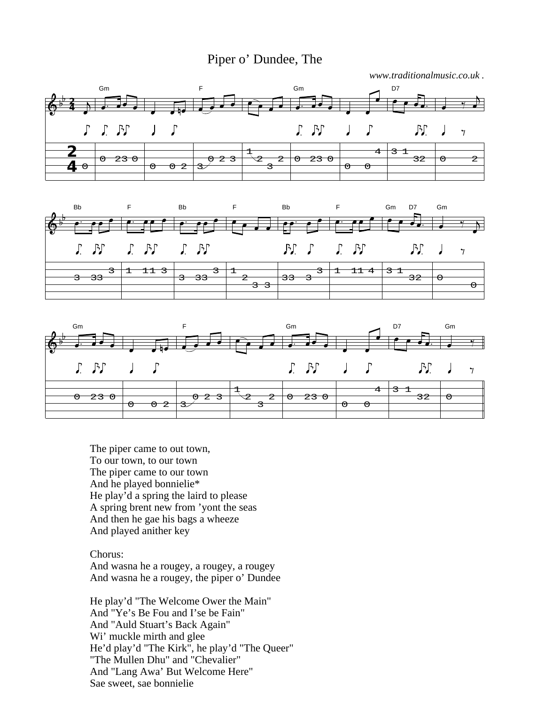## Piper o' Dundee, The









The piper came to out town, To our town, to our town The piper came to our town And he played bonnielie\* He play'd a spring the laird to please A spring brent new from 'yont the seas And then he gae his bags a wheeze And played anither key

Chorus: And wasna he a rougey, a rougey, a rougey And wasna he a rougey, the piper o' Dundee

He play'd "The Welcome Ower the Main" And "Ye's Be Fou and I'se be Fain" And "Auld Stuart's Back Again" Wi' muckle mirth and glee He'd play'd "The Kirk", he play'd "The Queer" "The Mullen Dhu" and "Chevalier" And "Lang Awa' But Welcome Here" Sae sweet, sae bonnielie